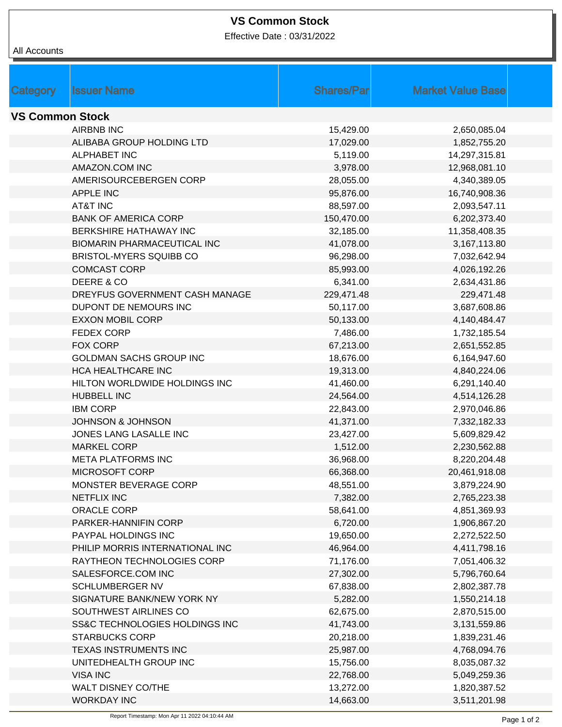## **VS Common Stock**

Effective Date : 03/31/2022

All Accounts

| <b>Category</b>        | <b>Issuer Name</b>                         | <b>Shares/Parl</b> | <b>Market Value Base</b> |  |  |  |
|------------------------|--------------------------------------------|--------------------|--------------------------|--|--|--|
| <b>VS Common Stock</b> |                                            |                    |                          |  |  |  |
|                        | <b>AIRBNB INC</b>                          | 15,429.00          | 2,650,085.04             |  |  |  |
|                        | ALIBABA GROUP HOLDING LTD                  | 17,029.00          | 1,852,755.20             |  |  |  |
|                        | <b>ALPHABET INC</b>                        | 5,119.00           | 14,297,315.81            |  |  |  |
|                        | AMAZON.COM INC                             |                    |                          |  |  |  |
|                        |                                            | 3,978.00           | 12,968,081.10            |  |  |  |
|                        | AMERISOURCEBERGEN CORP<br><b>APPLE INC</b> | 28,055.00          | 4,340,389.05             |  |  |  |
|                        | <b>AT&amp;T INC</b>                        | 95,876.00          | 16,740,908.36            |  |  |  |
|                        |                                            | 88,597.00          | 2,093,547.11             |  |  |  |
|                        | <b>BANK OF AMERICA CORP</b>                | 150,470.00         | 6,202,373.40             |  |  |  |
|                        | BERKSHIRE HATHAWAY INC                     | 32,185.00          | 11,358,408.35            |  |  |  |
|                        | <b>BIOMARIN PHARMACEUTICAL INC</b>         | 41,078.00          | 3,167,113.80             |  |  |  |
|                        | <b>BRISTOL-MYERS SQUIBB CO</b>             | 96,298.00          | 7,032,642.94             |  |  |  |
|                        | <b>COMCAST CORP</b>                        | 85,993.00          | 4,026,192.26             |  |  |  |
|                        | DEERE & CO                                 | 6,341.00           | 2,634,431.86             |  |  |  |
|                        | DREYFUS GOVERNMENT CASH MANAGE             | 229,471.48         | 229,471.48               |  |  |  |
|                        | DUPONT DE NEMOURS INC                      | 50,117.00          | 3,687,608.86             |  |  |  |
|                        | <b>EXXON MOBIL CORP</b>                    | 50,133.00          | 4,140,484.47             |  |  |  |
|                        | <b>FEDEX CORP</b>                          | 7,486.00           | 1,732,185.54             |  |  |  |
|                        | <b>FOX CORP</b>                            | 67,213.00          | 2,651,552.85             |  |  |  |
|                        | GOLDMAN SACHS GROUP INC                    | 18,676.00          | 6,164,947.60             |  |  |  |
|                        | HCA HEALTHCARE INC                         | 19,313.00          | 4,840,224.06             |  |  |  |
|                        | HILTON WORLDWIDE HOLDINGS INC              | 41,460.00          | 6,291,140.40             |  |  |  |
|                        | HUBBELL INC                                | 24,564.00          | 4,514,126.28             |  |  |  |
|                        | <b>IBM CORP</b>                            | 22,843.00          | 2,970,046.86             |  |  |  |
|                        | <b>JOHNSON &amp; JOHNSON</b>               | 41,371.00          | 7,332,182.33             |  |  |  |
|                        | JONES LANG LASALLE INC                     | 23,427.00          | 5,609,829.42             |  |  |  |
|                        | <b>MARKEL CORP</b>                         | 1,512.00           | 2,230,562.88             |  |  |  |
|                        | <b>META PLATFORMS INC</b>                  | 36,968.00          | 8,220,204.48             |  |  |  |
|                        | MICROSOFT CORP                             | 66,368.00          | 20,461,918.08            |  |  |  |
|                        | MONSTER BEVERAGE CORP                      | 48,551.00          | 3,879,224.90             |  |  |  |
|                        | <b>NETFLIX INC</b>                         | 7,382.00           | 2,765,223.38             |  |  |  |
|                        | ORACLE CORP                                | 58,641.00          | 4,851,369.93             |  |  |  |
|                        | PARKER-HANNIFIN CORP                       | 6,720.00           | 1,906,867.20             |  |  |  |
|                        | PAYPAL HOLDINGS INC                        | 19,650.00          | 2,272,522.50             |  |  |  |
|                        | PHILIP MORRIS INTERNATIONAL INC            | 46,964.00          | 4,411,798.16             |  |  |  |
|                        | RAYTHEON TECHNOLOGIES CORP                 | 71,176.00          | 7,051,406.32             |  |  |  |
|                        | SALESFORCE.COM INC                         | 27,302.00          | 5,796,760.64             |  |  |  |
|                        | <b>SCHLUMBERGER NV</b>                     | 67,838.00          | 2,802,387.78             |  |  |  |
|                        | SIGNATURE BANK/NEW YORK NY                 | 5,282.00           | 1,550,214.18             |  |  |  |
|                        | SOUTHWEST AIRLINES CO                      | 62,675.00          | 2,870,515.00             |  |  |  |
|                        | SS&C TECHNOLOGIES HOLDINGS INC             | 41,743.00          | 3,131,559.86             |  |  |  |
|                        | <b>STARBUCKS CORP</b>                      | 20,218.00          | 1,839,231.46             |  |  |  |
|                        | TEXAS INSTRUMENTS INC                      | 25,987.00          | 4,768,094.76             |  |  |  |
|                        | UNITEDHEALTH GROUP INC                     | 15,756.00          | 8,035,087.32             |  |  |  |
|                        | <b>VISA INC</b>                            | 22,768.00          | 5,049,259.36             |  |  |  |
|                        | <b>WALT DISNEY CO/THE</b>                  | 13,272.00          | 1,820,387.52             |  |  |  |
|                        | <b>WORKDAY INC</b>                         | 14,663.00          | 3,511,201.98             |  |  |  |